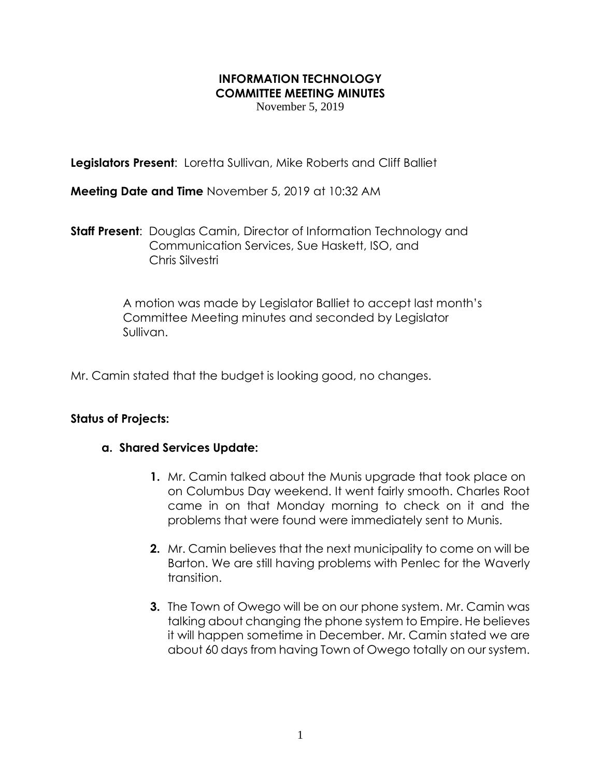## **INFORMATION TECHNOLOGY COMMITTEE MEETING MINUTES**

November 5, 2019

**Legislators Present**: Loretta Sullivan, Mike Roberts and Cliff Balliet

**Meeting Date and Time** November 5, 2019 at 10:32 AM

**Staff Present**: Douglas Camin, Director of Information Technology and Communication Services, Sue Haskett, ISO, and Chris Silvestri

> A motion was made by Legislator Balliet to accept last month's Committee Meeting minutes and seconded by Legislator Sullivan.

Mr. Camin stated that the budget is looking good, no changes.

## **Status of Projects:**

## **a. Shared Services Update:**

- **1.** Mr. Camin talked about the Munis upgrade that took place on on Columbus Day weekend. It went fairly smooth. Charles Root came in on that Monday morning to check on it and the problems that were found were immediately sent to Munis.
- **2.** Mr. Camin believes that the next municipality to come on will be Barton. We are still having problems with Penlec for the Waverly transition.
- **3.** The Town of Owego will be on our phone system. Mr. Camin was talking about changing the phone system to Empire. He believes it will happen sometime in December. Mr. Camin stated we are about 60 days from having Town of Owego totally on our system.